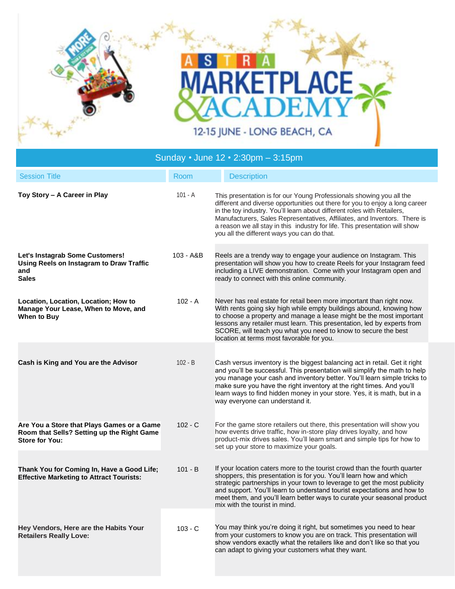

| Sunday • June 12 • 2:30pm - 3:15pm                                                                                |             |                                                                                                                                                                                                                                                                                                                                                                                                                                            |
|-------------------------------------------------------------------------------------------------------------------|-------------|--------------------------------------------------------------------------------------------------------------------------------------------------------------------------------------------------------------------------------------------------------------------------------------------------------------------------------------------------------------------------------------------------------------------------------------------|
| <b>Session Title</b>                                                                                              | Room        | <b>Description</b>                                                                                                                                                                                                                                                                                                                                                                                                                         |
| Toy Story - A Career in Play                                                                                      | $101 - A$   | This presentation is for our Young Professionals showing you all the<br>different and diverse opportunities out there for you to enjoy a long career<br>in the toy industry. You'll learn about different roles with Retailers,<br>Manufacturers, Sales Representatives, Affiliates, and Inventors. There is<br>a reason we all stay in this industry for life. This presentation will show<br>you all the different ways you can do that. |
| Let's Instagrab Some Customers!<br>Using Reels on Instagram to Draw Traffic<br>and<br><b>Sales</b>                | $103 - A&B$ | Reels are a trendy way to engage your audience on Instagram. This<br>presentation will show you how to create Reels for your Instagram feed<br>including a LIVE demonstration. Come with your Instagram open and<br>ready to connect with this online community.                                                                                                                                                                           |
| Location, Location, Location; How to<br>Manage Your Lease, When to Move, and<br>When to Buy                       | $102 - A$   | Never has real estate for retail been more important than right now.<br>With rents going sky high while empty buildings abound, knowing how<br>to choose a property and manage a lease might be the most important<br>lessons any retailer must learn. This presentation, led by experts from<br>SCORE, will teach you what you need to know to secure the best<br>location at terms most favorable for you.                               |
| Cash is King and You are the Advisor                                                                              | $102 - B$   | Cash versus inventory is the biggest balancing act in retail. Get it right<br>and you'll be successful. This presentation will simplify the math to help<br>you manage your cash and inventory better. You'll learn simple tricks to<br>make sure you have the right inventory at the right times. And you'll<br>learn ways to find hidden money in your store. Yes, it is math, but in a<br>way everyone can understand it.               |
| Are You a Store that Plays Games or a Game<br>Room that Sells? Setting up the Right Game<br><b>Store for You:</b> | $102 - C$   | For the game store retailers out there, this presentation will show you<br>how events drive traffic, how in-store play drives loyalty, and how<br>product-mix drives sales. You'll learn smart and simple tips for how to<br>set up your store to maximize your goals.                                                                                                                                                                     |
| Thank You for Coming In, Have a Good Life;<br><b>Effective Marketing to Attract Tourists:</b>                     | $101 - B$   | If your location caters more to the tourist crowd than the fourth quarter<br>shoppers, this presentation is for you. You'll learn how and which<br>strategic partnerships in your town to leverage to get the most publicity<br>and support. You'll learn to understand tourist expectations and how to<br>meet them, and you'll learn better ways to curate your seasonal product<br>mix with the tourist in mind.                        |
| Hey Vendors, Here are the Habits Your<br><b>Retailers Really Love:</b>                                            | $103 - C$   | You may think you're doing it right, but sometimes you need to hear<br>from your customers to know you are on track. This presentation will<br>show vendors exactly what the retailers like and don't like so that you<br>can adapt to giving your customers what they want.                                                                                                                                                               |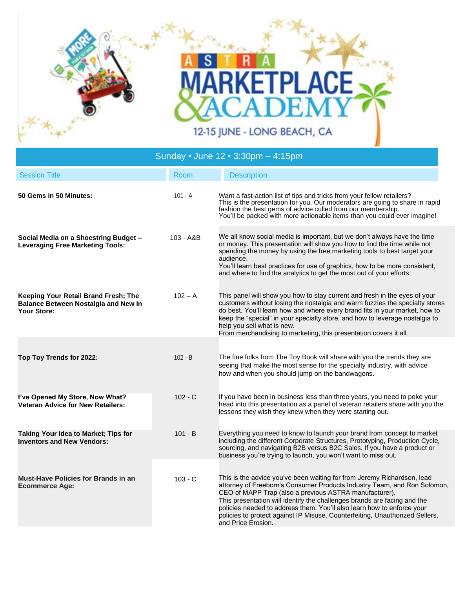

## **Session Title Community Community Community Community Community Description 50 Gems in 50 Minutes:** 101 - A Want a fast-action list of tips and tricks from your fellow retailers? This is the presentation for you. Our moderators are going to share in rapid fashion the best gems of advice culled from our membership. You'll be packed with more actionable items than you could ever imagine! **Social Media on a Shoestring Budget – Leveraging Free Marketing Tools:** 103 - A&B We all know social media is important, but we don't always have the time or money. This presentation will show you how to find the time while not spending the money by using the free marketing tools to best target your audience. You'll learn best practices for use of graphics, how to be more consistent, and where to find the analytics to get the most out of your efforts. **Keeping Your Retail Brand Fresh; The Balance Between Nostalgia and New in Your Store:** 102 – A This panel will show you how to stay current and fresh in the eyes of your customers without losing the nostalgia and warm fuzzies the specialty stores do best. You'll learn how and where every brand fits in your market, how to keep the "special" in your specialty store, and how to leverage nostalgia to help you sell what is new. From merchandising to marketing, this presentation covers it all. **Top Toy Trends for 2022:** 102 - B The fine folks from The Toy Book will share with you the trends they are seeing that make the most sense for the specialty industry, with advice how and when you should jump on the bandwagons. **I've Opened My Store, Now What? Veteran Advice for New Retailers:** 102 - C If you have been in business less than three years, you need to poke your head into this presentation as a panel of veteran retailers share with you the lessons they wish they knew when they were starting out. **Taking Your Idea to Market; Tips for Inventors and New Vendors:** 101 - B Everything you need to know to launch your brand from concept to market including the different Corporate Structures, Prototyping, Production Cycle, sourcing, and navigating B2B versus B2C Sales. If you have a product or business you're trying to launch, you won't want to miss out. **Must-Have Policies for Brands in an Ecommerce Age:** 103 - C This is the advice you've been waiting for from Jeremy Richardson, lead attorney of Freeborn's Consumer Products Industry Team, and Ron Solomon, CEO of MAPP Trap (also a previous ASTRA manufacturer).

and Price Erosion.

This presentation will identify the challenges brands are facing and the policies needed to address them. You'll also learn how to enforce your policies to protect against IP Misuse, Counterfeiting, Unauthorized Sellers,